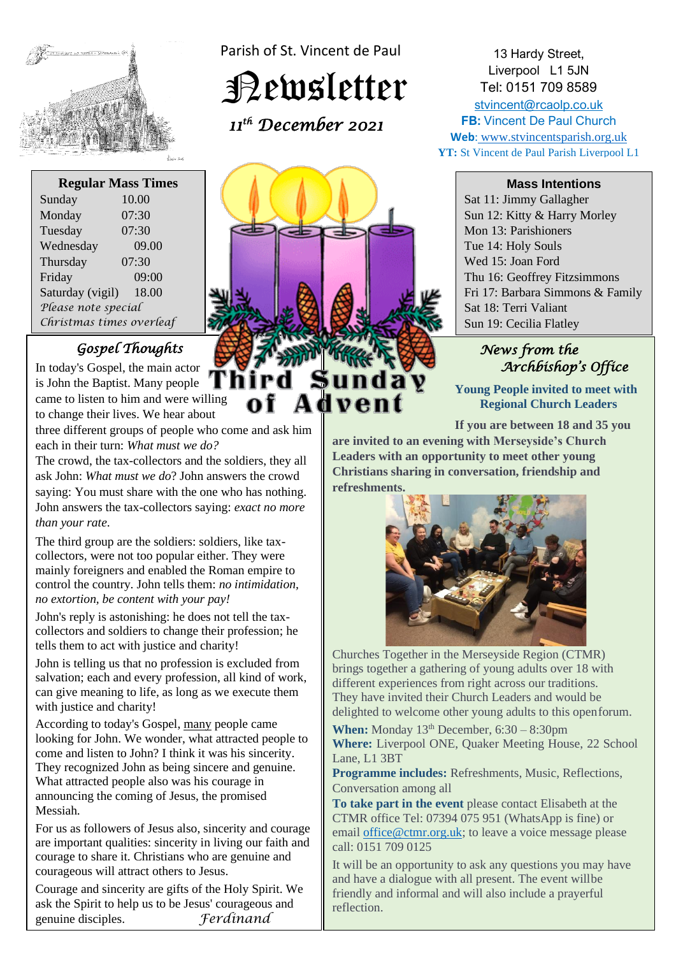

Parish of St. Vincent de Paul

Newsletter

Advent

 *11th December 2021* 

**Regular Mass Times** Sunday 10.00 Monday 07:30

| www.                     | <u>v , . v</u> |
|--------------------------|----------------|
| Tuesday                  | 07:30          |
| Wednesday                | 09.00          |
| Thursday                 | 07:30          |
| Friday                   | 09:00          |
| Saturday (vigil)         | 18.00          |
| Please note special      |                |
| Christmas times overleaf |                |

# *Gospel Thoughts*

In today's Gospel, the main actor is John the Baptist. Many people  $\left[\begin{array}{c} \bullet \end{array}\right]$ came to listen to him and were willing to change their lives. We hear about

three different groups of people who come and ask him each in their turn: *What must we do?*

The crowd, the tax-collectors and the soldiers, they all ask John: *What must we do*? John answers the crowd saying: You must share with the one who has nothing. John answers the tax-collectors saying: *exact no more than your rate*.

The third group are the soldiers: soldiers, like taxcollectors, were not too popular either. They were mainly foreigners and enabled the Roman empire to control the country. John tells them: *no intimidation, no extortion, be content with your pay!*

John's reply is astonishing: he does not tell the taxcollectors and soldiers to change their profession; he tells them to act with justice and charity!

John is telling us that no profession is excluded from salvation; each and every profession, all kind of work, can give meaning to life, as long as we execute them with justice and charity!

According to today's Gospel, many people came looking for John. We wonder, what attracted people to come and listen to John? I think it was his sincerity. They recognized John as being sincere and genuine. What attracted people also was his courage in announcing the coming of Jesus, the promised Messiah.

For us as followers of Jesus also, sincerity and courage are important qualities: sincerity in living our faith and courage to share it. Christians who are genuine and courageous will attract others to Jesus.

Courage and sincerity are gifts of the Holy Spirit. We ask the Spirit to help us to be Jesus' courageous and genuine disciples. *Ferdinand*



Sun 12: Kitty & Harry Morley Mon 13: Parishioners Tue 14: Holy Souls Wed 15: Joan Ford Thu 16: Geoffrey Fitzsimmons Fri 17: Barbara Simmons & Family Sat 18: Terri Valiant Sun 19: Cecilia Flatley

13 Hardy Street, Liverpool L1 5JN Tel: 0151 709 8589

# *News from the Archbishop's Office*

 **Young People invited to meet with Regional Church Leaders**

**If you are between 18 and 35 you**

**are invited to an evening with Merseyside's Church**  Leaders with an opportunity to meet other young **Christians sharing in conversation, friendship and refreshments.**



Churches Together in the Merseyside Region (CTMR) brings together a gathering of young adults over 18 with different experiences from right across our traditions. They have invited their Church Leaders and would be delighted to welcome other young adults to this openforum.

**When:** Monday  $13<sup>th</sup>$  December,  $6:30 - 8:30$ pm **Where:** Liverpool ONE, Quaker Meeting House, 22 School Lane, L1 3BT

**Programme includes:** Refreshments, Music, Reflections, Conversation among all

**To take part in the event** please contact Elisabeth at the CTMR office Tel: 07394 075 951 (WhatsApp is fine) or email [office@ctmr.org.uk;](mailto:office@ctmr.org.uk) to leave a voice message please call: 0151 709 0125

It will be an opportunity to ask any questions you may have and have a dialogue with all present. The event willbe friendly and informal and will also include a prayerful reflection.